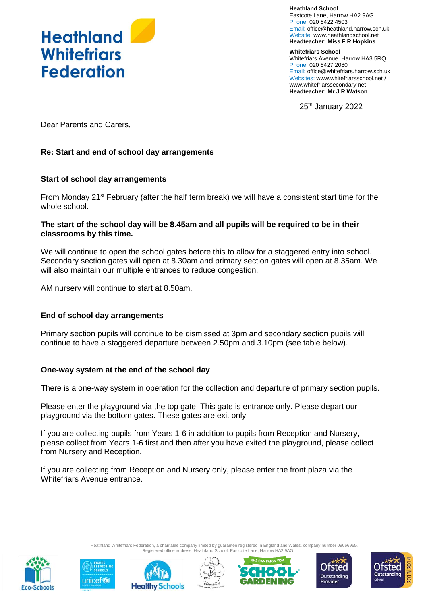

**Heathland School** Eastcote Lane, Harrow HA2 9AG Phone: 020 8422 4503 Email: [office@heathland.harrow.sch.uk](mailto:office@heathland.harrow.sch.uk) Website: www.heathlandschool.net **Headteacher: Miss F R Hopkins**

**Whitefriars School** Whitefriars Avenue, Harrow HA3 5RQ Phone: 020 8427 2080 Email: office@whitefriars.harrow.sch.uk Websites: [www.whitefriarsschool.net](http://www.whitefriarsschool.net/) / www.whitefriarssecondary.net **Headteacher: Mr J R Watson**

25<sup>th</sup> January 2022

Dear Parents and Carers,

## **Re: Start and end of school day arrangements**

## **Start of school day arrangements**

From Monday 21<sup>st</sup> February (after the half term break) we will have a consistent start time for the whole school.

#### **The start of the school day will be 8.45am and all pupils will be required to be in their classrooms by this time.**

We will continue to open the school gates before this to allow for a staggered entry into school. Secondary section gates will open at 8.30am and primary section gates will open at 8.35am. We will also maintain our multiple entrances to reduce congestion.

AM nursery will continue to start at 8.50am.

#### **End of school day arrangements**

Primary section pupils will continue to be dismissed at 3pm and secondary section pupils will continue to have a staggered departure between 2.50pm and 3.10pm (see table below).

#### **One-way system at the end of the school day**

There is a one-way system in operation for the collection and departure of primary section pupils.

Please enter the playground via the top gate. This gate is entrance only. Please depart our playground via the bottom gates. These gates are exit only.

If you are collecting pupils from Years 1-6 in addition to pupils from Reception and Nursery, please collect from Years 1-6 first and then after you have exited the playground, please collect from Nursery and Reception.

If you are collecting from Reception and Nursery only, please enter the front plaza via the Whitefriars Avenue entrance.









Heathland Whitefriars Federation, a charitable company limited by guarantee registered in England and Wales, company number 09066965.